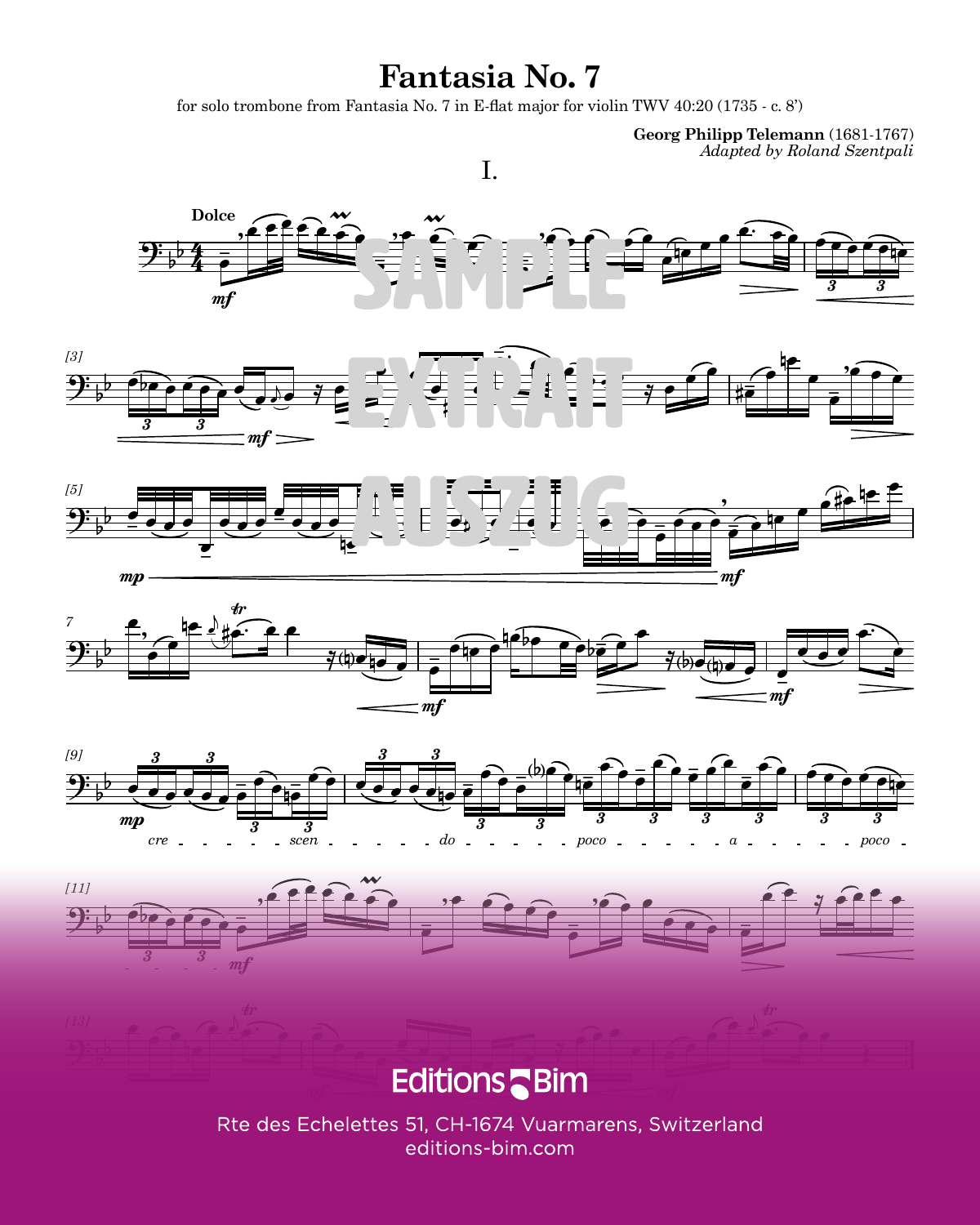## **Fantasia No. 7**

for solo trombone from Fantasia No. 7 in E-flat major for violin TWV  $40:20(1735 - c. 8')$ 

**Georg Philipp Telemann** (1681-1767) *Adapted by Roland Szentpali*



## $\blacksquare$  EQILIOI IS  $\blacksquare$  DIITT  $\blacksquare$ **Editions**

Rte des Echelettes 51, CH-1674 Vuarmarens, Switzerland editions-bim.com TB108 3 SHINDOOD SHINDOOD SHINDOOD SHINDOOD SHINDOOD SHINDOOD SHINDOOD SHINDOOD SHINDOOD SHINDOOD SHINDOOD SHI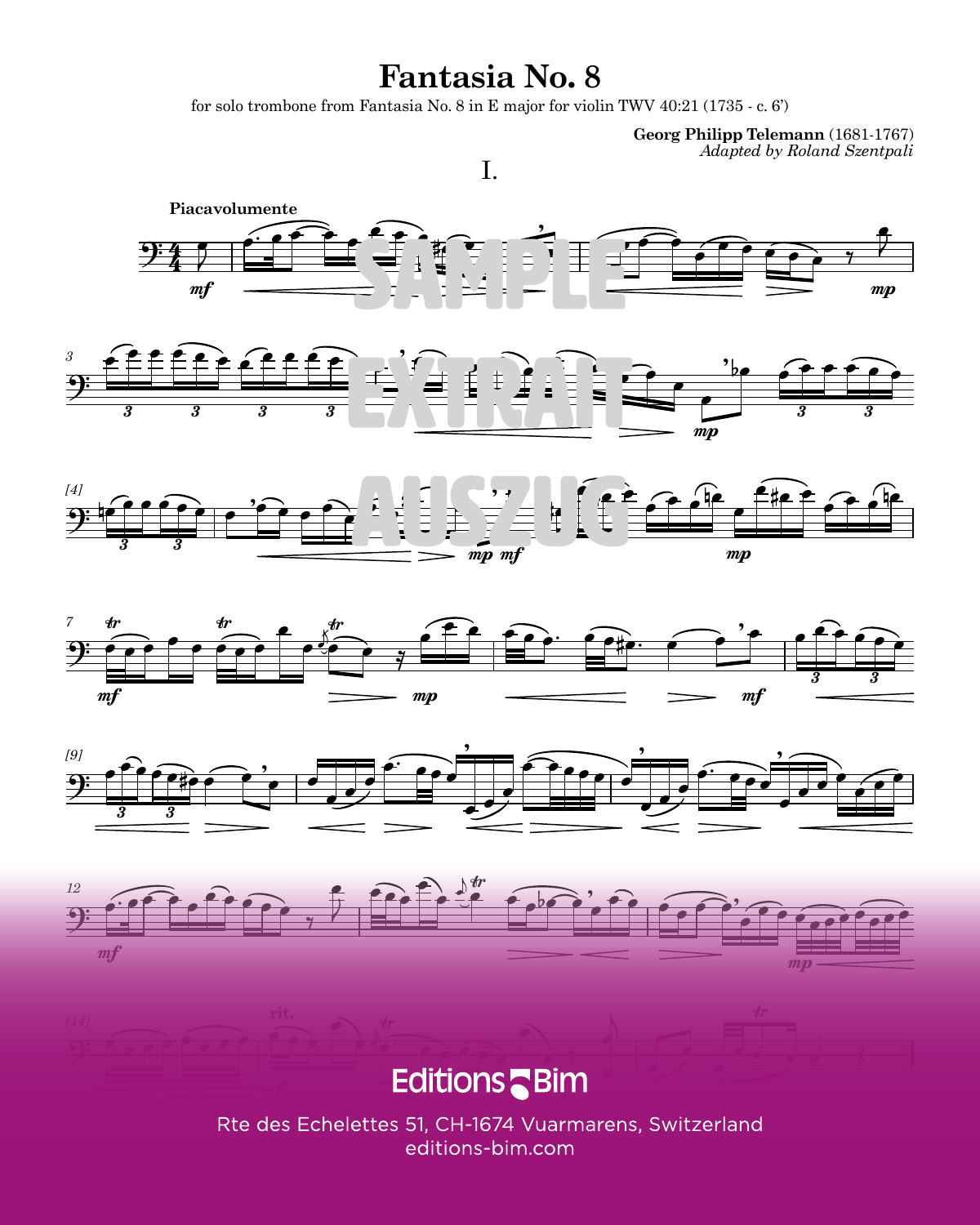## **Fantasia No. 8**

for solo trombone from Fantasia No. 8 in E major for violin TWV  $40:21$  (1735 - c. 6')

**Georg Philipp Telemann** (1681-1767) *Adapted by Roland Szentpali*



Rte des Echelettes 51, CH-1674 Vuarmarens, Switzerland editions-bim.com TB108 7 PM CONTENTS ANTICONTENTS AND THE CONTENTS OF THE CONTENTS OF THE CONTENTS OF THE CONTENTS OF THE CONTENTS OF THE CONTENTS OF THE CONTENTS OF THE CONTENTS OF THE CONTENTS OF THE CONTENTS OF THE CONTENTS OF THE CONTE